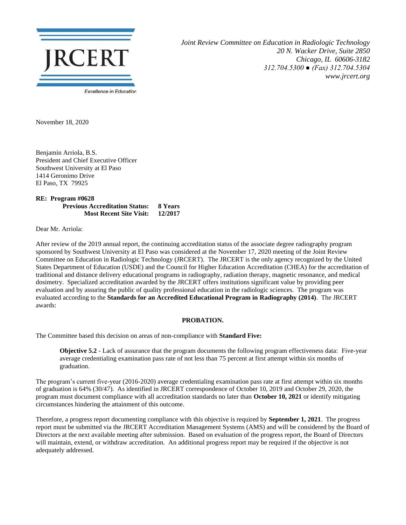

*Joint Review Committee on Education in Radiologic Technology 20 N. Wacker Drive, Suite 2850 Chicago, IL 60606-3182 312.704.5300 ● (Fax) 312.704.5304 www.jrcert.org*

November 18, 2020

Benjamin Arriola, B.S. President and Chief Executive Officer Southwest University at El Paso 1414 Geronimo Drive El Paso, TX 79925

**RE: Program #0628 Previous Accreditation Status: 8 Years Most Recent Site Visit: 12/2017**

Dear Mr. Arriola:

After review of the 2019 annual report, the continuing accreditation status of the associate degree radiography program sponsored by Southwest University at El Paso was considered at the November 17, 2020 meeting of the Joint Review Committee on Education in Radiologic Technology (JRCERT). The JRCERT is the only agency recognized by the United States Department of Education (USDE) and the Council for Higher Education Accreditation (CHEA) for the accreditation of traditional and distance delivery educational programs in radiography, radiation therapy, magnetic resonance, and medical dosimetry. Specialized accreditation awarded by the JRCERT offers institutions significant value by providing peer evaluation and by assuring the public of quality professional education in the radiologic sciences. The program was evaluated according to the **Standards for an Accredited Educational Program in Radiography (2014)**. The JRCERT awards:

## **PROBATION.**

The Committee based this decision on areas of non-compliance with **Standard Five:**

**Objective 5.2** - Lack of assurance that the program documents the following program effectiveness data: Five-year average credentialing examination pass rate of not less than 75 percent at first attempt within six months of graduation.

The program's current five-year (2016-2020) average credentialing examination pass rate at first attempt within six months of graduation is 64% (30/47). As identified in JRCERT correspondence of October 10, 2019 and October 29, 2020, the program must document compliance with all accreditation standards no later than **October 10, 2021** or identify mitigating circumstances hindering the attainment of this outcome.

Therefore, a progress report documenting compliance with this objective is required by **September 1, 2021**. The progress report must be submitted via the JRCERT Accreditation Management Systems (AMS) and will be considered by the Board of Directors at the next available meeting after submission. Based on evaluation of the progress report, the Board of Directors will maintain, extend, or withdraw accreditation. An additional progress report may be required if the objective is not adequately addressed.